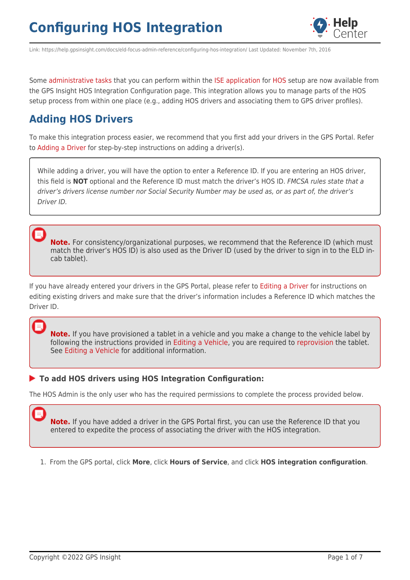

Link: https://help.gpsinsight.com/docs/eld-focus-admin-reference/configuring-hos-integration/ Last Updated: November 7th, 2016

Some [administrative tasks](https://help.gpsinsight.com/docs/hos-administrator-reference/) that you can perform within the [ISE application](https://gpsi-az-ise-01.gpsinsight.com/eFleetSuite/Login.aspx) for [HOS](https://help.gpsinsight.com/docs/hos/) setup are now available from the GPS Insight HOS Integration Configuration page. This integration allows you to manage parts of the HOS setup process from within one place (e.g., adding HOS drivers and associating them to GPS driver profiles).

### **Adding HOS Drivers**

To make this integration process easier, we recommend that you first add your drivers in the GPS Portal. Refer to [Adding a Driver](https://help.gpsinsight.com/docs/about-drivers/adding-a-driver/) for step-by-step instructions on adding a driver(s).

While adding a driver, you will have the option to enter a Reference ID. If you are entering an HOS driver, this field is **NOT** optional and the Reference ID must match the driver's HOS ID. FMCSA rules state that a driver's drivers license number nor Social Security Number may be used as, or as part of, the driver's Driver ID.

**Note.** For consistency/organizational purposes, we recommend that the Reference ID (which must match the driver's HOS ID) is also used as the Driver ID (used by the driver to sign in to the ELD incab tablet).

If you have already entered your drivers in the GPS Portal, please refer to [Editing a Driver](https://help.gpsinsight.com/docs/about-drivers/editing-a-driver/) for instructions on editing existing drivers and make sure that the driver's information includes a Reference ID which matches the Driver ID.

**Note.** If you have provisioned a tablet in a vehicle and you make a change to the vehicle label by following the instructions provided in [Editing a Vehicle](https://help.gpsinsight.com/docs/vehicle-setup/editing-a-vehicle/), you are required to [reprovision](https://help.gpsinsight.com/docs/hos/administrator-reference/eld-provisioning-guide/) the tablet. See [Editing a Vehicle](https://help.gpsinsight.com/docs/vehicle-setup/editing-a-vehicle/) for additional information.

### **To add HOS drivers using HOS Integration Configuration:**

The HOS Admin is the only user who has the required permissions to complete the process provided below.

**Note.** If you have added a driver in the GPS Portal first, you can use the Reference ID that you entered to expedite the process of associating the driver with the HOS integration.

1. From the GPS portal, click **More**, click **Hours of Service**, and click **HOS integration configuration**.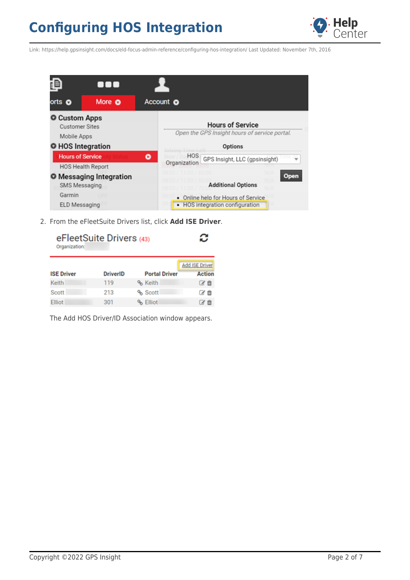

Link: https://help.gpsinsight.com/docs/eld-focus-admin-reference/configuring-hos-integration/ Last Updated: November 7th, 2016

|                                                                                   | 00                                                  |                                                                                                            |
|-----------------------------------------------------------------------------------|-----------------------------------------------------|------------------------------------------------------------------------------------------------------------|
| orts <b>o</b>                                                                     | More O                                              | Account o                                                                                                  |
| <b>O</b> Custom Apps<br>Mobile Apps                                               | <b>Customer Sites</b>                               | <b>Hours of Service</b><br>Open the GPS Insight hours of service portal.                                   |
| O HOS Integration                                                                 |                                                     | Options                                                                                                    |
|                                                                                   | <b>Hours of Service</b><br><b>HOS Health Report</b> | <b>HOS</b><br>۰<br>GPS Insight, LLC (gpsinsight)<br>Organization                                           |
| <b>O</b> Messaging Integration<br>SMS Messaging<br>Garmin<br><b>ELD Messaging</b> |                                                     | Open<br><b>Additional Options</b><br>• Online help for Hours of Service<br>• HOS integration configuration |

2. From the eFleetSuite Drivers list, click **Add ISE Driver**.

| eFleetSuite Drivers (43)<br>Organization: | ⌒<br>o          |                      |                          |
|-------------------------------------------|-----------------|----------------------|--------------------------|
|                                           |                 |                      | <b>Add ISE Driver</b>    |
| <b>ISE Driver</b>                         | <b>DriverID</b> | <b>Portal Driver</b> | <b>Action</b>            |
| Keith                                     | 119             | % Keith              | ぴ自                       |
| Scott                                     | 213             | % Scott              | $\epsilon$ of $\epsilon$ |
| Elliot                                    | 301             | % Elliot             |                          |

The Add HOS Driver/ID Association window appears.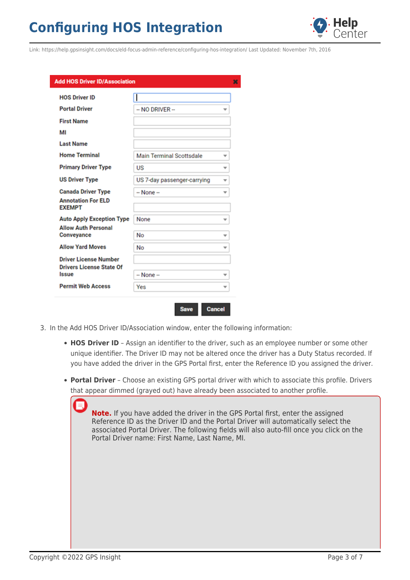

Link: https://help.gpsinsight.com/docs/eld-focus-admin-reference/configuring-hos-integration/ Last Updated: November 7th, 2016

| <b>Add HOS Driver ID/Association</b>                            |                             |   |
|-----------------------------------------------------------------|-----------------------------|---|
| <b>HOS Driver ID</b>                                            |                             |   |
| <b>Portal Driver</b>                                            | $-$ NO DRIVER $-$           |   |
| <b>First Name</b>                                               |                             |   |
| MI                                                              |                             |   |
| <b>Last Name</b>                                                |                             |   |
| <b>Home Terminal</b>                                            | Main Terminal Scottsdale    | v |
| <b>Primary Driver Type</b>                                      | US                          | v |
| <b>US Driver Type</b>                                           | US 7-day passenger-carrying | v |
| <b>Canada Driver Type</b>                                       | -- None --                  | ÷ |
| <b>Annotation For ELD</b><br><b>EXEMPT</b>                      |                             |   |
| <b>Auto Apply Exception Type</b>                                | None                        |   |
| <b>Allow Auth Personal</b>                                      |                             |   |
| Conveyance                                                      | No                          |   |
| <b>Allow Yard Moves</b>                                         | No                          | ÷ |
| <b>Driver License Number</b><br><b>Drivers License State Of</b> |                             |   |
| Issue                                                           | $-$ None $-$                |   |
| <b>Permit Web Access</b>                                        | Yes                         |   |

3. In the Add HOS Driver ID/Association window, enter the following information:

**Save** 

**HOS Driver ID** - Assign an identifier to the driver, such as an employee number or some other unique identifier. The Driver ID may not be altered once the driver has a Duty Status recorded. If you have added the driver in the GPS Portal first, enter the Reference ID you assigned the driver.

**Cancel** 

**Portal Driver** – Choose an existing GPS portal driver with which to associate this profile. Drivers that appear dimmed (grayed out) have already been associated to another profile.

| <b>Note.</b> If you have added the driver in the GPS Portal first, enter the assigned<br>Reference ID as the Driver ID and the Portal Driver will automatically select the<br>associated Portal Driver. The following fields will also auto-fill once you click on the<br>Portal Driver name: First Name, Last Name, MI. |
|--------------------------------------------------------------------------------------------------------------------------------------------------------------------------------------------------------------------------------------------------------------------------------------------------------------------------|
|                                                                                                                                                                                                                                                                                                                          |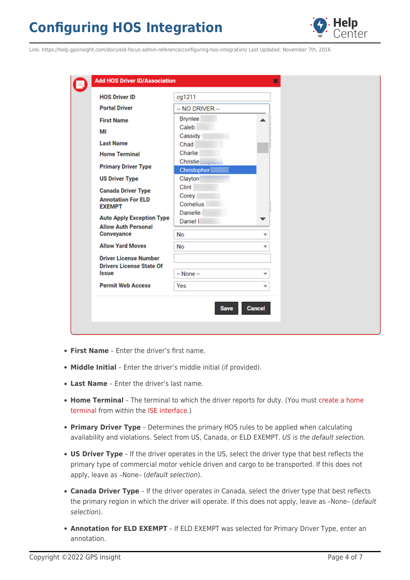

Link: https://help.gpsinsight.com/docs/eld-focus-admin-reference/configuring-hos-integration/ Last Updated: November 7th, 2016

| -- NO DRIVER --<br>Brynlee<br>Caleb<br>Cassidy<br>Chad<br>Charlie<br>Christie<br>Christopher<br>Clayton<br>Clint<br>Corey<br>Cornelius<br><b>Danielle</b><br>Daniel I<br>No<br>÷<br>No<br>v<br>$-$ None $-$<br>÷<br>Yes<br>÷                                                                                                                                                                                             | <b>HOS Driver ID</b> | cg1211 |  |
|--------------------------------------------------------------------------------------------------------------------------------------------------------------------------------------------------------------------------------------------------------------------------------------------------------------------------------------------------------------------------------------------------------------------------|----------------------|--------|--|
| <b>First Name</b><br>МI<br><b>Last Name</b><br><b>Home Terminal</b><br><b>Primary Driver Type</b><br><b>US Driver Type</b><br><b>Canada Driver Type</b><br><b>Annotation For ELD</b><br><b>EXEMPT</b><br><b>Auto Apply Exception Type</b><br><b>Allow Auth Personal</b><br>Conveyance<br><b>Allow Yard Moves</b><br><b>Driver License Number</b><br><b>Drivers License State Of</b><br>Issue<br><b>Permit Web Access</b> | <b>Portal Driver</b> |        |  |
|                                                                                                                                                                                                                                                                                                                                                                                                                          |                      |        |  |
|                                                                                                                                                                                                                                                                                                                                                                                                                          |                      |        |  |
|                                                                                                                                                                                                                                                                                                                                                                                                                          |                      |        |  |
|                                                                                                                                                                                                                                                                                                                                                                                                                          |                      |        |  |
|                                                                                                                                                                                                                                                                                                                                                                                                                          |                      |        |  |
|                                                                                                                                                                                                                                                                                                                                                                                                                          |                      |        |  |
|                                                                                                                                                                                                                                                                                                                                                                                                                          |                      |        |  |
|                                                                                                                                                                                                                                                                                                                                                                                                                          |                      |        |  |
|                                                                                                                                                                                                                                                                                                                                                                                                                          |                      |        |  |
|                                                                                                                                                                                                                                                                                                                                                                                                                          |                      |        |  |
|                                                                                                                                                                                                                                                                                                                                                                                                                          |                      |        |  |
|                                                                                                                                                                                                                                                                                                                                                                                                                          |                      |        |  |
|                                                                                                                                                                                                                                                                                                                                                                                                                          |                      |        |  |
|                                                                                                                                                                                                                                                                                                                                                                                                                          |                      |        |  |
|                                                                                                                                                                                                                                                                                                                                                                                                                          |                      |        |  |
|                                                                                                                                                                                                                                                                                                                                                                                                                          |                      |        |  |
|                                                                                                                                                                                                                                                                                                                                                                                                                          |                      |        |  |
|                                                                                                                                                                                                                                                                                                                                                                                                                          |                      |        |  |
|                                                                                                                                                                                                                                                                                                                                                                                                                          |                      |        |  |

- **First Name** Enter the driver's first name.
- **Middle Initial** Enter the driver's middle initial (if provided).
- **Last Name** Enter the driver's last name.
- **Home Terminal** The terminal to which the driver reports for duty. (You must [create a home](https://help.gpsinsight.com/docs/hos/administrator-reference/eld-admin-setting-up-your-hos-account/) [terminal](https://help.gpsinsight.com/docs/hos/administrator-reference/eld-admin-setting-up-your-hos-account/) from within the [ISE interface.](https://gpsi-az-ise-01.gpsinsight.com/eFleetSuite/Login.aspx))
- **Primary Driver Type** Determines the primary HOS rules to be applied when calculating availability and violations. Select from US, Canada, or ELD EXEMPT. US is the default selection.
- **US Driver Type** If the driver operates in the US, select the driver type that best reflects the primary type of commercial motor vehicle driven and cargo to be transported. If this does not apply, leave as –None– (default selection).
- **Canada Driver Type** If the driver operates in Canada, select the driver type that best reflects the primary region in which the driver will operate. If this does not apply, leave as –None– (default selection).
- **Annotation for ELD EXEMPT** If ELD EXEMPT was selected for Primary Driver Type, enter an annotation.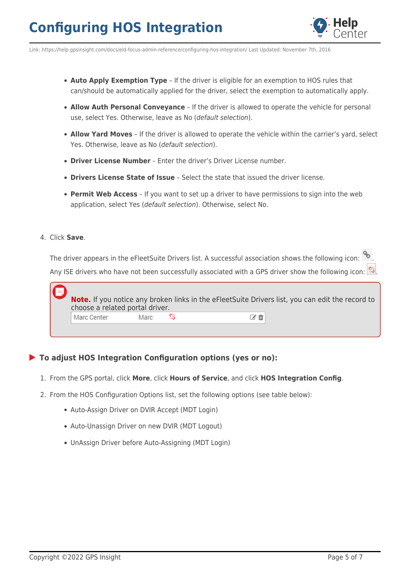

Link: https://help.gpsinsight.com/docs/eld-focus-admin-reference/configuring-hos-integration/ Last Updated: November 7th, 2016

- **Auto Apply Exemption Type** If the driver is eligible for an exemption to HOS rules that can/should be automatically applied for the driver, select the exemption to automatically apply.
- **Allow Auth Personal Conveyance** If the driver is allowed to operate the vehicle for personal use, select Yes. Otherwise, leave as No (default selection).
- **Allow Yard Moves** If the driver is allowed to operate the vehicle within the carrier's yard, select Yes. Otherwise, leave as No (default selection).
- **Driver License Number** Enter the driver's Driver License number.
- **Drivers License State of Issue** Select the state that issued the driver license.
- **Permit Web Access** If you want to set up a driver to have permissions to sign into the web application, select Yes (default selection). Otherwise, select No.

#### 4. Click **Save**.

The driver appears in the eFleetSuite Drivers list. A successful association shows the following icon:  $\%$ . Any ISE drivers who have not been successfully associated with a GPS driver show the following icon:  $\Im$ 

| choose a related portal driver. |      | Note. If you notice any broken links in the eFleetSuite Drivers list, you can edit the record to |  |
|---------------------------------|------|--------------------------------------------------------------------------------------------------|--|
| Marc Center                     | Marc |                                                                                                  |  |
|                                 |      |                                                                                                  |  |

### **To adjust HOS Integration Configuration options (yes or no):**

- 1. From the GPS portal, click **More**, click **Hours of Service**, and click **HOS Integration Config**.
- 2. From the HOS Configuration Options list, set the following options (see table below):
	- Auto-Assign Driver on DVIR Accept (MDT Login)
	- Auto-Unassign Driver on new DVIR (MDT Logout)
	- UnAssign Driver before Auto-Assigning (MDT Login)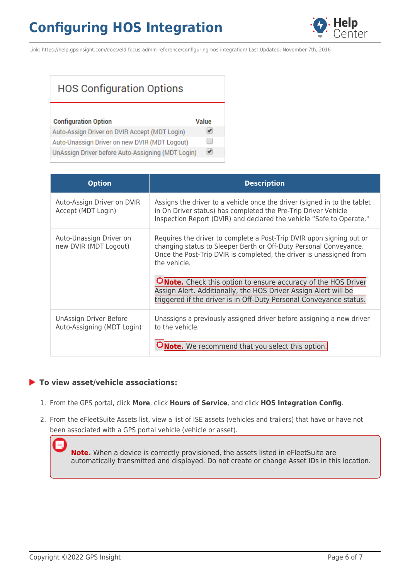

Link: https://help.gpsinsight.com/docs/eld-focus-admin-reference/configuring-hos-integration/ Last Updated: November 7th, 2016

| <b>HOS Configuration Options</b> |  |
|----------------------------------|--|
|----------------------------------|--|

| <b>Configuration Option</b>                       | Value                |
|---------------------------------------------------|----------------------|
| Auto-Assign Driver on DVIR Accept (MDT Login)     |                      |
| Auto-Unassign Driver on new DVIR (MDT Logout)     | $\Box$               |
| UnAssign Driver before Auto-Assigning (MDT Login) | $\blacktriangledown$ |

| <b>Option</b>                                        | <b>Description</b>                                                                                                                                                                                                               |
|------------------------------------------------------|----------------------------------------------------------------------------------------------------------------------------------------------------------------------------------------------------------------------------------|
| Auto-Assign Driver on DVIR<br>Accept (MDT Login)     | Assigns the driver to a vehicle once the driver (signed in to the tablet<br>in On Driver status) has completed the Pre-Trip Driver Vehicle<br>Inspection Report (DVIR) and declared the vehicle "Safe to Operate."               |
| Auto-Unassign Driver on<br>new DVIR (MDT Logout)     | Requires the driver to complete a Post-Trip DVIR upon signing out or<br>changing status to Sleeper Berth or Off-Duty Personal Conveyance.<br>Once the Post-Trip DVIR is completed, the driver is unassigned from<br>the vehicle. |
|                                                      | <b>ONote.</b> Check this option to ensure accuracy of the HOS Driver<br>Assign Alert. Additionally, the HOS Driver Assign Alert will be<br>triggered if the driver is in Off-Duty Personal Conveyance status.                    |
| UnAssign Driver Before<br>Auto-Assigning (MDT Login) | Unassigns a previously assigned driver before assigning a new driver<br>to the vehicle.<br><b>ONote.</b> We recommend that you select this option.                                                                               |

### **To view asset/vehicle associations:**

- 1. From the GPS portal, click **More**, click **Hours of Service**, and click **HOS Integration Config**.
- 2. From the eFleetSuite Assets list, view a list of ISE assets (vehicles and trailers) that have or have not been associated with a GPS portal vehicle (vehicle or asset).

**Note.** When a device is correctly provisioned, the assets listed in eFleetSuite are automatically transmitted and displayed. Do not create or change Asset IDs in this location.